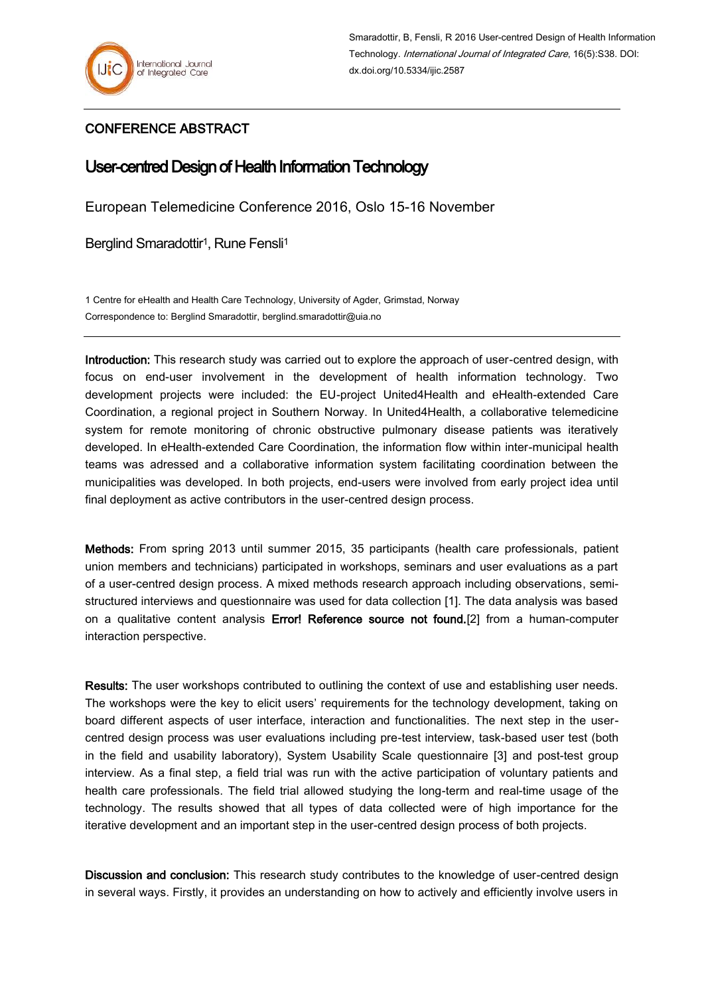## CONFERENCE ABSTRACT

## User-centred Design of Health Information Technology

European Telemedicine Conference 2016, Oslo 15-16 November

Berglind Smaradottir<sup>1</sup>, Rune Fensli<sup>1</sup>

1 Centre for eHealth and Health Care Technology, University of Agder, Grimstad, Norway Correspondence to: Berglind Smaradottir, berglind.smaradottir@uia.no

Introduction: This research study was carried out to explore the approach of user-centred design, with focus on end-user involvement in the development of health information technology. Two development projects were included: the EU-project United4Health and eHealth-extended Care Coordination, a regional project in Southern Norway. In United4Health, a collaborative telemedicine system for remote monitoring of chronic obstructive pulmonary disease patients was iteratively developed. In eHealth-extended Care Coordination, the information flow within inter-municipal health teams was adressed and a collaborative information system facilitating coordination between the municipalities was developed. In both projects, end-users were involved from early project idea until final deployment as active contributors in the user-centred design process.

Methods: From spring 2013 until summer 2015, 35 participants (health care professionals, patient union members and technicians) participated in workshops, seminars and user evaluations as a part of a user-centred design process. A mixed methods research approach including observations, semistructured interviews and questionnaire was used for data collection [1]. The data analysis was based on a qualitative content analysis Error! Reference source not found.<sup>[2]</sup> from a human-computer interaction perspective.

Results: The user workshops contributed to outlining the context of use and establishing user needs. The workshops were the key to elicit users' requirements for the technology development, taking on board different aspects of user interface, interaction and functionalities. The next step in the usercentred design process was user evaluations including pre-test interview, task-based user test (both in the field and usability laboratory), System Usability Scale questionnaire [3] and post-test group interview. As a final step, a field trial was run with the active participation of voluntary patients and health care professionals. The field trial allowed studying the long-term and real-time usage of the technology. The results showed that all types of data collected were of high importance for the iterative development and an important step in the user-centred design process of both projects.

Discussion and conclusion: This research study contributes to the knowledge of user-centred design in several ways. Firstly, it provides an understanding on how to actively and efficiently involve users in